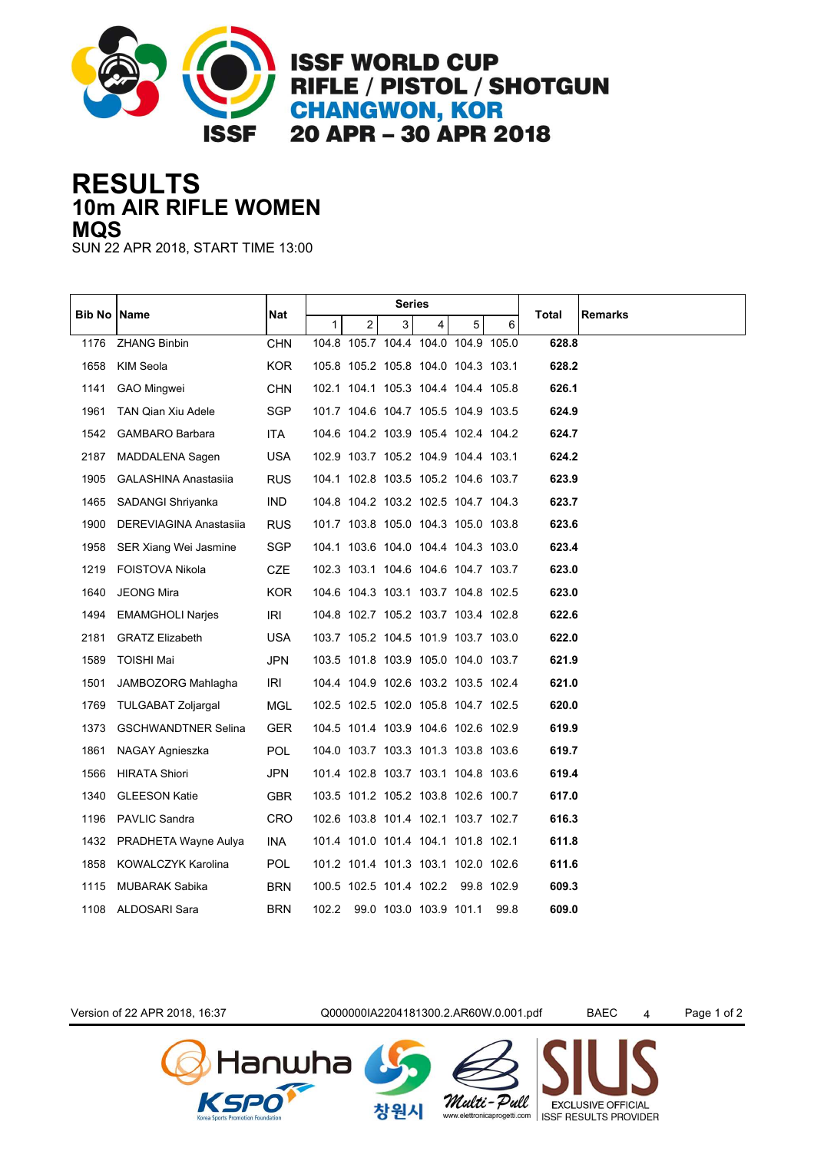

## **10m AIR RIFLE WOMEN RESULTS MQS**

SUN 22 APR 2018, START TIME 13:00

| Bib No | Name                        | Nat        |              |                | <b>Series</b> |                                     |   |      |       |                |
|--------|-----------------------------|------------|--------------|----------------|---------------|-------------------------------------|---|------|-------|----------------|
|        |                             |            | $\mathbf{1}$ | $\overline{2}$ | 3             | 4                                   | 5 | 6    | Total | <b>Remarks</b> |
| 1176   | <b>ZHANG Binbin</b>         | <b>CHN</b> |              |                |               | 104.8 105.7 104.4 104.0 104.9 105.0 |   |      | 628.8 |                |
| 1658   | KIM Seola                   | <b>KOR</b> |              |                |               | 105.8 105.2 105.8 104.0 104.3 103.1 |   |      | 628.2 |                |
| 1141   | <b>GAO Mingwei</b>          | <b>CHN</b> |              |                |               | 102.1 104.1 105.3 104.4 104.4 105.8 |   |      | 626.1 |                |
| 1961   | <b>TAN Qian Xiu Adele</b>   | <b>SGP</b> |              |                |               | 101.7 104.6 104.7 105.5 104.9 103.5 |   |      | 624.9 |                |
| 1542   | GAMBARO Barbara             | ITA.       |              |                |               | 104.6 104.2 103.9 105.4 102.4 104.2 |   |      | 624.7 |                |
| 2187   | MADDALENA Sagen             | <b>USA</b> |              |                |               | 102.9 103.7 105.2 104.9 104.4 103.1 |   |      | 624.2 |                |
| 1905   | <b>GALASHINA Anastasiia</b> | <b>RUS</b> |              |                |               | 104.1 102.8 103.5 105.2 104.6 103.7 |   |      | 623.9 |                |
| 1465   | SADANGI Shriyanka           | IND.       |              |                |               | 104.8 104.2 103.2 102.5 104.7 104.3 |   |      | 623.7 |                |
| 1900   | DEREVIAGINA Anastasiia      | <b>RUS</b> |              |                |               | 101.7 103.8 105.0 104.3 105.0 103.8 |   |      | 623.6 |                |
| 1958   | SER Xiang Wei Jasmine       | SGP        |              |                |               | 104.1 103.6 104.0 104.4 104.3 103.0 |   |      | 623.4 |                |
| 1219   | <b>FOISTOVA Nikola</b>      | CZE        |              |                |               | 102.3 103.1 104.6 104.6 104.7 103.7 |   |      | 623.0 |                |
| 1640   | <b>JEONG Mira</b>           | <b>KOR</b> |              |                |               | 104.6 104.3 103.1 103.7 104.8 102.5 |   |      | 623.0 |                |
| 1494   | <b>EMAMGHOLI Narjes</b>     | IRI        |              |                |               | 104.8 102.7 105.2 103.7 103.4 102.8 |   |      | 622.6 |                |
| 2181   | <b>GRATZ Elizabeth</b>      | <b>USA</b> |              |                |               | 103.7 105.2 104.5 101.9 103.7 103.0 |   |      | 622.0 |                |
| 1589   | <b>TOISHI Mai</b>           | <b>JPN</b> |              |                |               | 103.5 101.8 103.9 105.0 104.0 103.7 |   |      | 621.9 |                |
| 1501   | JAMBOZORG Mahlagha          | IRI        |              |                |               | 104.4 104.9 102.6 103.2 103.5 102.4 |   |      | 621.0 |                |
| 1769   | <b>TULGABAT Zoljargal</b>   | MGL        |              |                |               | 102.5 102.5 102.0 105.8 104.7 102.5 |   |      | 620.0 |                |
| 1373   | <b>GSCHWANDTNER Selina</b>  | <b>GER</b> |              |                |               | 104.5 101.4 103.9 104.6 102.6 102.9 |   |      | 619.9 |                |
| 1861   | NAGAY Agnieszka             | <b>POL</b> |              |                |               | 104.0 103.7 103.3 101.3 103.8 103.6 |   |      | 619.7 |                |
| 1566   | <b>HIRATA Shiori</b>        | JPN        |              |                |               | 101.4 102.8 103.7 103.1 104.8 103.6 |   |      | 619.4 |                |
| 1340   | <b>GLEESON Katie</b>        | <b>GBR</b> |              |                |               | 103.5 101.2 105.2 103.8 102.6 100.7 |   |      | 617.0 |                |
| 1196   | <b>PAVLIC Sandra</b>        | <b>CRO</b> |              |                |               | 102.6 103.8 101.4 102.1 103.7 102.7 |   |      | 616.3 |                |
| 1432   | PRADHETA Wayne Aulya        | INA        |              |                |               | 101.4 101.0 101.4 104.1 101.8 102.1 |   |      | 611.8 |                |
| 1858   | KOWALCZYK Karolina          | POL        |              |                |               | 101.2 101.4 101.3 103.1 102.0 102.6 |   |      | 611.6 |                |
| 1115   | <b>MUBARAK Sabika</b>       | <b>BRN</b> |              |                |               | 100.5 102.5 101.4 102.2 99.8 102.9  |   |      | 609.3 |                |
| 1108   | ALDOSARI Sara               | <b>BRN</b> |              |                |               | 102.2 99.0 103.0 103.9 101.1        |   | 99.8 | 609.0 |                |
|        |                             |            |              |                |               |                                     |   |      |       |                |

lanwha

Version of 22 APR 2018, 16:37 Q000000IA2204181300.2.AR60W.0.001.pdf BAEC 4 Page 1 of 2

창원시

Multi-Pull

**EXCLUSIVE OFFICIAL** 

www.elettronicaprogetti.com | ISSF RESULTS PROVIDER